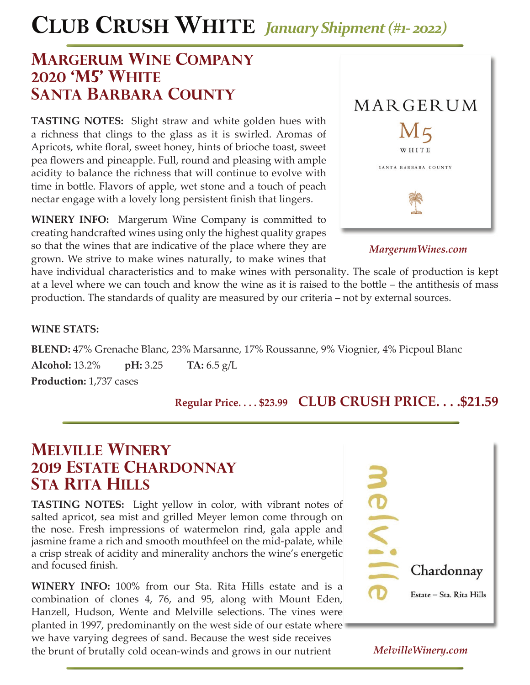# **CLUB CRUSH WHITE** *January Shipment (#1- 2022)*

## **margerum wine company 2020 'm5' white santa barbara county**

**TASTING NOTES:** Slight straw and white golden hues with a richness that clings to the glass as it is swirled. Aromas of Apricots, white floral, sweet honey, hints of brioche toast, sweet pea flowers and pineapple. Full, round and pleasing with ample acidity to balance the richness that will continue to evolve with time in bottle. Flavors of apple, wet stone and a touch of peach nectar engage with a lovely long persistent finish that lingers.

**WINERY INFO:** Margerum Wine Company is committed to creating handcrafted wines using only the highest quality grapes so that the wines that are indicative of the place where they are grown. We strive to make wines naturally, to make wines that



*MargerumWines.com*

have individual characteristics and to make wines with personality. The scale of production is kept at a level where we can touch and know the wine as it is raised to the bottle – the antithesis of mass production. The standards of quality are measured by our criteria – not by external sources.

#### **WINE STATS:**

**BLEND:** 47% Grenache Blanc, 23% Marsanne, 17% Roussanne, 9% Viognier, 4% Picpoul Blanc **Alcohol:** 13.2% **pH:** 3.25 **TA:** 6.5 g/L **Production:** 1,737 cases

## **Regular Price. . . . \$23.99 CLUB CRUSH PRICE. . . .\$21.59**

## **melville winery 2019 estate chardonnay STA RITA HILLS**

**TASTING NOTES:** Light yellow in color, with vibrant notes of salted apricot, sea mist and grilled Meyer lemon come through on the nose. Fresh impressions of watermelon rind, gala apple and jasmine frame a rich and smooth mouthfeel on the mid-palate, while a crisp streak of acidity and minerality anchors the wine's energetic and focused finish.

**WINERY INFO:** 100% from our Sta. Rita Hills estate and is a combination of clones 4, 76, and 95, along with Mount Eden, Hanzell, Hudson, Wente and Melville selections. The vines were planted in 1997, predominantly on the west side of our estate where we have varying degrees of sand. Because the west side receives the brunt of brutally cold ocean-winds and grows in our nutrient



### *MelvilleWinery.com*